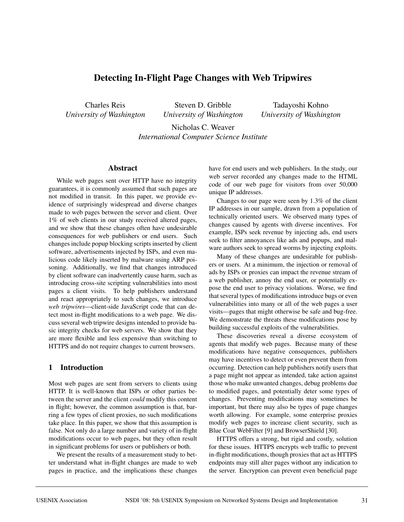# **Detecting In-Flight Page Changes with Web Tripwires**

Charles Reis *University of Washington*

Steven D. Gribble *University of Washington*

Tadayoshi Kohno *University of Washington*

Nicholas C. Weaver *International Computer Science Institute*

#### **Abstract**

While web pages sent over HTTP have no integrity guarantees, it is commonly assumed that such pages are not modified in transit. In this paper, we provide evidence of surprisingly widespread and diverse changes made to web pages between the server and client. Over 1% of web clients in our study received altered pages, and we show that these changes often have undesirable consequences for web publishers or end users. Such changes include popup blocking scripts inserted by client software, advertisements injected by ISPs, and even malicious code likely inserted by malware using ARP poisoning. Additionally, we find that changes introduced by client software can inadvertently cause harm, such as introducing cross-site scripting vulnerabilities into most pages a client visits. To help publishers understand and react appropriately to such changes, we introduce *web tripwires*—client-side JavaScript code that can detect most in-flight modifications to a web page. We discuss several web tripwire designs intended to provide basic integrity checks for web servers. We show that they are more flexible and less expensive than switching to HTTPS and do not require changes to current browsers.

## **1 Introduction**

Most web pages are sent from servers to clients using HTTP. It is well-known that ISPs or other parties between the server and the client *could* modify this content in flight; however, the common assumption is that, barring a few types of client proxies, no such modifications take place. In this paper, we show that this assumption is false. Not only do a large number and variety of in-flight modifications occur to web pages, but they often result in significant problems for users or publishers or both.

We present the results of a measurement study to better understand what in-flight changes are made to web pages in practice, and the implications these changes have for end users and web publishers. In the study, our web server recorded any changes made to the HTML code of our web page for visitors from over 50,000 unique IP addresses.

Changes to our page were seen by 1.3% of the client IP addresses in our sample, drawn from a population of technically oriented users. We observed many types of changes caused by agents with diverse incentives. For example, ISPs seek revenue by injecting ads, end users seek to filter annoyances like ads and popups, and malware authors seek to spread worms by injecting exploits.

Many of these changes are undesirable for publishers or users. At a minimum, the injection or removal of ads by ISPs or proxies can impact the revenue stream of a web publisher, annoy the end user, or potentially expose the end user to privacy violations. Worse, we find that several types of modifications introduce bugs or even vulnerabilities into many or all of the web pages a user visits—pages that might otherwise be safe and bug-free. We demonstrate the threats these modifications pose by building successful exploits of the vulnerabilities.

These discoveries reveal a diverse ecosystem of agents that modify web pages. Because many of these modifications have negative consequences, publishers may have incentives to detect or even prevent them from occurring. Detection can help publishers notify users that a page might not appear as intended, take action against those who make unwanted changes, debug problems due to modified pages, and potentially deter some types of changes. Preventing modifications may sometimes be important, but there may also be types of page changes worth allowing. For example, some enterprise proxies modify web pages to increase client security, such as Blue Coat WebFilter [9] and BrowserShield [30].

HTTPS offers a strong, but rigid and costly, solution for these issues. HTTPS encrypts web traffic to prevent in-flight modifications, though proxies that act as HTTPS endpoints may still alter pages without any indication to the server. Encryption can prevent even beneficial page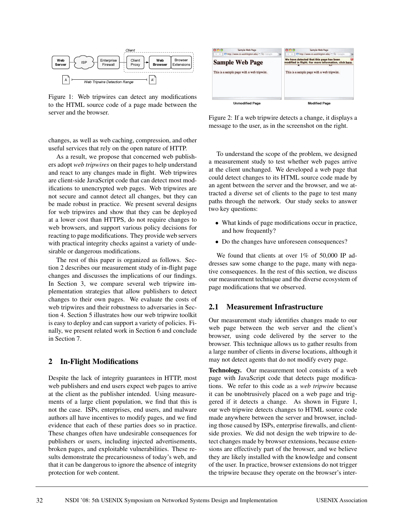

Figure 1: Web tripwires can detect any modifications to the HTML source code of a page made between the server and the browser.

changes, as well as web caching, compression, and other useful services that rely on the open nature of HTTP.

As a result, we propose that concerned web publishers adopt *web tripwires* on their pages to help understand and react to any changes made in flight. Web tripwires are client-side JavaScript code that can detect most modifications to unencrypted web pages. Web tripwires are not secure and cannot detect all changes, but they can be made robust in practice. We present several designs for web tripwires and show that they can be deployed at a lower cost than HTTPS, do not require changes to web browsers, and support various policy decisions for reacting to page modifications. They provide web servers with practical integrity checks against a variety of undesirable or dangerous modifications.

The rest of this paper is organized as follows. Section 2 describes our measurement study of in-flight page changes and discusses the implications of our findings. In Section 3, we compare several web tripwire implementation strategies that allow publishers to detect changes to their own pages. We evaluate the costs of web tripwires and their robustness to adversaries in Section 4. Section 5 illustrates how our web tripwire toolkit is easy to deploy and can support a variety of policies. Finally, we present related work in Section 6 and conclude in Section 7.

## **2 In-Flight Modifications**

Despite the lack of integrity guarantees in HTTP, most web publishers and end users expect web pages to arrive at the client as the publisher intended. Using measurements of a large client population, we find that this is not the case. ISPs, enterprises, end users, and malware authors all have incentives to modify pages, and we find evidence that each of these parties does so in practice. These changes often have undesirable consequences for publishers or users, including injected advertisements, broken pages, and exploitable vulnerabilities. These results demonstrate the precariousness of today's web, and that it can be dangerous to ignore the absence of integrity protection for web content.



Figure 2: If a web tripwire detects a change, it displays a message to the user, as in the screenshot on the right.

To understand the scope of the problem, we designed a measurement study to test whether web pages arrive at the client unchanged. We developed a web page that could detect changes to its HTML source code made by an agent between the server and the browser, and we attracted a diverse set of clients to the page to test many paths through the network. Our study seeks to answer two key questions:

- What kinds of page modifications occur in practice, and how frequently?
- Do the changes have unforeseen consequences?

We found that clients at over  $1\%$  of 50,000 IP addresses saw some change to the page, many with negative consequences. In the rest of this section, we discuss our measurement technique and the diverse ecosystem of page modifications that we observed.

### **2.1 Measurement Infrastructure**

Our measurement study identifies changes made to our web page between the web server and the client's browser, using code delivered by the server to the browser. This technique allows us to gather results from a large number of clients in diverse locations, although it may not detect agents that do not modify every page.

**Technology.** Our measurement tool consists of a web page with JavaScript code that detects page modifications. We refer to this code as a *web tripwire* because it can be unobtrusively placed on a web page and triggered if it detects a change. As shown in Figure 1, our web tripwire detects changes to HTML source code made anywhere between the server and browser, including those caused by ISPs, enterprise firewalls, and clientside proxies. We did not design the web tripwire to detect changes made by browser extensions, because extensions are effectively part of the browser, and we believe they are likely installed with the knowledge and consent of the user. In practice, browser extensions do not trigger the tripwire because they operate on the browser's inter-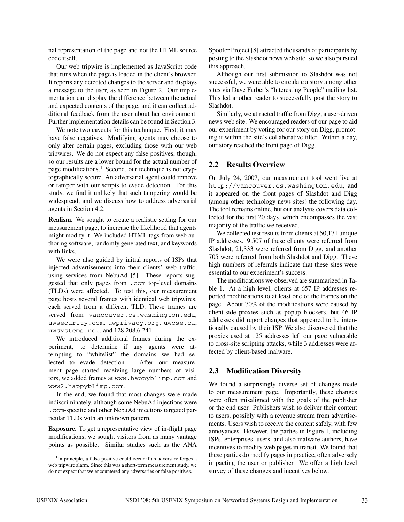nal representation of the page and not the HTML source code itself.

Our web tripwire is implemented as JavaScript code that runs when the page is loaded in the client's browser. It reports any detected changes to the server and displays a message to the user, as seen in Figure 2. Our implementation can display the difference between the actual and expected contents of the page, and it can collect additional feedback from the user about her environment. Further implementation details can be found in Section 3.

We note two caveats for this technique. First, it may have false negatives. Modifying agents may choose to only alter certain pages, excluding those with our web tripwires. We do not expect any false positives, though, so our results are a lower bound for the actual number of page modifications.<sup>1</sup> Second, our technique is not cryptographically secure. An adversarial agent could remove or tamper with our scripts to evade detection. For this study, we find it unlikely that such tampering would be widespread, and we discuss how to address adversarial agents in Section 4.2.

**Realism.** We sought to create a realistic setting for our measurement page, to increase the likelihood that agents might modify it. We included HTML tags from web authoring software, randomly generated text, and keywords with links.

We were also guided by initial reports of ISPs that injected advertisements into their clients' web traffic, using services from NebuAd [5]. These reports suggested that only pages from .com top-level domains (TLDs) were affected. To test this, our measurement page hosts several frames with identical web tripwires, each served from a different TLD. These frames are served from vancouver.cs.washington.edu, uwsecurity.com, uwprivacy.org, uwcse.ca, uwsystems.net, and 128.208.6.241.

We introduced additional frames during the experiment, to determine if any agents were attempting to "whitelist" the domains we had selected to evade detection. After our measurement page started receiving large numbers of visitors, we added frames at www.happyblimp.com and www2.happyblimp.com.

In the end, we found that most changes were made indiscriminately, although some NebuAd injections were .com-specific and other NebuAd injections targeted particular TLDs with an unknown pattern.

**Exposure.** To get a representative view of in-flight page modifications, we sought visitors from as many vantage points as possible. Similar studies such as the ANA

Spoofer Project [8] attracted thousands of participants by posting to the Slashdot news web site, so we also pursued this approach.

Although our first submission to Slashdot was not successful, we were able to circulate a story among other sites via Dave Farber's "Interesting People" mailing list. This led another reader to successfully post the story to Slashdot.

Similarly, we attracted traffic from Digg, a user-driven news web site. We encouraged readers of our page to aid our experiment by voting for our story on Digg, promoting it within the site's collaborative filter. Within a day, our story reached the front page of Digg.

# **2.2 Results Overview**

On July 24, 2007, our measurement tool went live at http://vancouver.cs.washington.edu, and it appeared on the front pages of Slashdot and Digg (among other technology news sites) the following day. The tool remains online, but our analysis covers data collected for the first 20 days, which encompasses the vast majority of the traffic we received.

We collected test results from clients at 50,171 unique IP addresses. 9,507 of these clients were referred from Slashdot, 21,333 were referred from Digg, and another 705 were referred from both Slashdot and Digg. These high numbers of referrals indicate that these sites were essential to our experiment's success.

The modifications we observed are summarized in Table 1. At a high level, clients at 657 IP addresses reported modifications to at least one of the frames on the page. About 70% of the modifications were caused by client-side proxies such as popup blockers, but 46 IP addresses did report changes that appeared to be intentionally caused by their ISP. We also discovered that the proxies used at 125 addresses left our page vulnerable to cross-site scripting attacks, while 3 addresses were affected by client-based malware.

# **2.3 Modification Diversity**

We found a surprisingly diverse set of changes made to our measurement page. Importantly, these changes were often misaligned with the goals of the publisher or the end user. Publishers wish to deliver their content to users, possibly with a revenue stream from advertisements. Users wish to receive the content safely, with few annoyances. However, the parties in Figure 1, including ISPs, enterprises, users, and also malware authors, have incentives to modify web pages in transit. We found that these parties do modify pages in practice, often adversely impacting the user or publisher. We offer a high level survey of these changes and incentives below.

<sup>&</sup>lt;sup>1</sup>In principle, a false positive could occur if an adversary forges a web tripwire alarm. Since this was a short-term measurement study, we do not expect that we encountered any adversaries or false positives.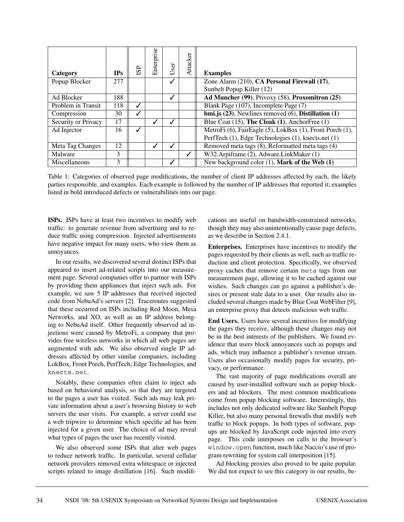| Category            | <b>IPs</b> | <b>SP</b> | Enterprise | User | Attacker | <b>Examples</b>                                             |
|---------------------|------------|-----------|------------|------|----------|-------------------------------------------------------------|
| Popup Blocker       | 277        |           |            | ✓    |          | Zone Alarm (210), CA Personal Firewall (17),                |
|                     |            |           |            |      |          | Sunbelt Popup Killer (12)                                   |
| Ad Blocker          | 188        |           |            | √    |          | Ad Muncher (99), Privoxy (58), Proxomitron (25)             |
| Problem in Transit  | 118        | J         |            |      |          | Blank Page (107), Incomplete Page (7)                       |
| Compression         | 30         |           |            |      |          | bmi.js $(23)$ , Newlines removed $(6)$ , Distillation $(1)$ |
| Security or Privacy | 17         |           | ✓          |      |          | Blue Coat $(15)$ , The Cloak $(1)$ , AnchorFree $(1)$       |
| Ad Injector         | 16         |           |            |      |          | MetroFi (6), FairEagle (5), LokBox (1), Front Porch (1),    |
|                     |            |           |            |      |          | PerfTech (1), Edge Technologies (1), knects.net (1)         |
| Meta Tag Changes    | 12         |           |            |      |          | Removed meta tags (8), Reformatted meta tags (4)            |
| Malware             | 3          |           |            |      |          | W32.Arpiframe (2), Adware.LinkMaker (1)                     |
| Miscellaneous       | 3          |           |            |      |          | New background color $(1)$ , Mark of the Web $(1)$          |

Table 1: Categories of observed page modifications, the number of client IP addresses affected by each, the likely parties responsible, and examples. Each example is followed by the number of IP addresses that reported it; examples listed in bold introduced defects or vulnerabilities into our page.

**ISPs.** ISPs have at least two incentives to modify web traffic: to generate revenue from advertising and to reduce traffic using compression. Injected advertisements have negative impact for many users, who view them as annoyances.

In our results, we discovered several distinct ISPs that appeared to insert ad-related scripts into our measurement page. Several companies offer to partner with ISPs by providing them appliances that inject such ads. For example, we saw 5 IP addresses that received injected code from NebuAd's servers [2]. Traceroutes suggested that these occurred on ISPs including Red Moon, Mesa Networks, and XO, as well as an IP address belonging to NebuAd itself. Other frequently observed ad injections were caused by MetroFi, a company that provides free wireless networks in which all web pages are augmented with ads. We also observed single IP addresses affected by other similar companies, including LokBox, Front Porch, PerfTech, Edge Technologies, and knects.net.

Notably, these companies often claim to inject ads based on behavioral analysis, so that they are targeted to the pages a user has visited. Such ads may leak private information about a user's browsing history to web servers the user visits. For example, a server could use a web tripwire to determine which specific ad has been injected for a given user. The choice of ad may reveal what types of pages the user has recently visited.

We also observed some ISPs that alter web pages to reduce network traffic. In particular, several cellular network providers removed extra whitespace or injected scripts related to image distillation [16]. Such modifications are useful on bandwidth-constrained networks, though they may also unintentionally cause page defects, as we describe in Section 2.4.1.

**Enterprises.** Enterprises have incentives to modify the pages requested by their clients as well, such as traffic reduction and client protection. Specifically, we observed proxy caches that remove certain meta tags from our measurement page, allowing it to be cached against our wishes. Such changes can go against a publisher's desires or present stale data to a user. Our results also included several changes made by Blue Coat WebFilter [9], an enterprise proxy that detects malicious web traffic.

**End Users.** Users have several incentives for modifying the pages they receive, although these changes may not be in the best interests of the publishers. We found evidence that users block annoyances such as popups and ads, which may influence a publisher's revenue stream. Users also occasionally modify pages for security, privacy, or performance.

The vast majority of page modifications overall are caused by user-installed software such as popup blockers and ad blockers. The most common modifications come from popup blocking software. Interestingly, this includes not only dedicated software like Sunbelt Popup Killer, but also many personal firewalls that modify web traffic to block popups. In both types of software, popups are blocked by JavaScript code injected into every page. This code interposes on calls to the browser's window.open function, much like Naccio's use of program rewriting for system call interposition [15].

Ad blocking proxies also proved to be quite popular. We did not expect to see this category in our results, be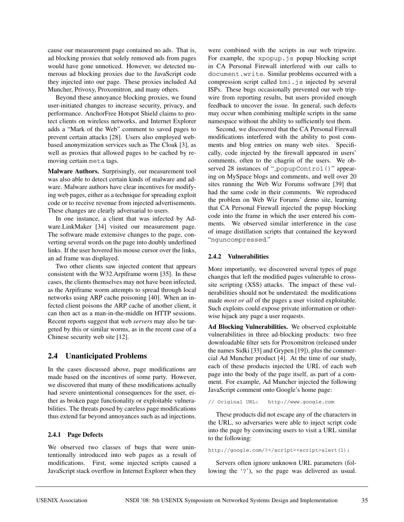cause our measurement page contained no ads. That is, ad blocking proxies that solely removed ads from pages would have gone unnoticed. However, we detected numerous ad blocking proxies due to the JavaScript code they injected into our page. These proxies included Ad Muncher, Privoxy, Proxomitron, and many others.

Beyond these annoyance blocking proxies, we found user-initiated changes to increase security, privacy, and performance. AnchorFree Hotspot Shield claims to protect clients on wireless networks, and Internet Explorer adds a "Mark of the Web" comment to saved pages to prevent certain attacks [28]. Users also employed webbased anonymization services such as The Cloak [3], as well as proxies that allowed pages to be cached by removing certain meta tags.

**Malware Authors.** Surprisingly, our measurement tool was also able to detect certain kinds of malware and adware. Malware authors have clear incentives for modifying web pages, either as a technique for spreading exploit code or to receive revenue from injected advertisements. These changes are clearly adversarial to users.

In one instance, a client that was infected by Adware.LinkMaker [34] visited our measurement page. The software made extensive changes to the page, converting several words on the page into doubly underlined links. If the user hovered his mouse cursor over the links, an ad frame was displayed.

Two other clients saw injected content that appears consistent with the W32.Arpiframe worm [35]. In these cases, the clients themselves may not have been infected, as the Arpiframe worm attempts to spread through local networks using ARP cache poisoning [40]. When an infected client poisons the ARP cache of another client, it can then act as a man-in-the-middle on HTTP sessions. Recent reports suggest that web *servers* may also be targeted by this or similar worms, as in the recent case of a Chinese security web site [12].

# **2.4 Unanticipated Problems**

In the cases discussed above, page modifications are made based on the incentives of some party. However, we discovered that many of these modifications actually had severe unintentional consequences for the user, either as broken page functionality or exploitable vulnerabilities. The threats posed by careless page modifications thus extend far beyond annoyances such as ad injections.

# **2.4.1 Page Defects**

We observed two classes of bugs that were unintentionally introduced into web pages as a result of modifications. First, some injected scripts caused a JavaScript stack overflow in Internet Explorer when they

were combined with the scripts in our web tripwire. For example, the xpopup.js popup blocking script in CA Personal Firewall interfered with our calls to document.write. Similar problems occurred with a compression script called bmi.js injected by several ISPs. These bugs occasionally prevented our web tripwire from reporting results, but users provided enough feedback to uncover the issue. In general, such defects may occur when combining multiple scripts in the same namespace without the ability to sufficiently test them.

Second, we discovered that the CA Personal Firewall modifications interfered with the ability to post comments and blog entries on many web sites. Specifically, code injected by the firewall appeared in users' comments, often to the chagrin of the users. We observed 28 instances of "\_popupControl()" appearing on MySpace blogs and comments, and well over 20 sites running the Web Wiz Forums software [39] that had the same code in their comments. We reproduced the problem on Web Wiz Forums' demo site, learning that CA Personal Firewall injected the popup blocking code into the frame in which the user entered his comments. We observed similar interference in the case of image distillation scripts that contained the keyword "nguncompressed."

## **2.4.2 Vulnerabilities**

More importantly, we discovered several types of page changes that left the modified pages vulnerable to crosssite scripting (XSS) attacks. The impact of these vulnerabilities should not be understated: the modifications made *most or all* of the pages a user visited exploitable. Such exploits could expose private information or otherwise hijack any page a user requests.

**Ad Blocking Vulnerabilities.** We observed exploitable vulnerabilities in three ad-blocking products: two free downloadable filter sets for Proxomitron (released under the names Sidki [33] and Grypen [19]), plus the commercial Ad Muncher product [4]. At the time of our study, each of these products injected the URL of each web page into the body of the page itself, as part of a comment. For example, Ad Muncher injected the following JavaScript comment onto Google's home page:

// Original URL: http://www.google.com

These products did not escape any of the characters in the URL, so adversaries were able to inject script code into the page by convincing users to visit a URL similar to the following:

http://google.com/?</script><script>alert(1);

Servers often ignore unknown URL parameters (following the '?'), so the page was delivered as usual.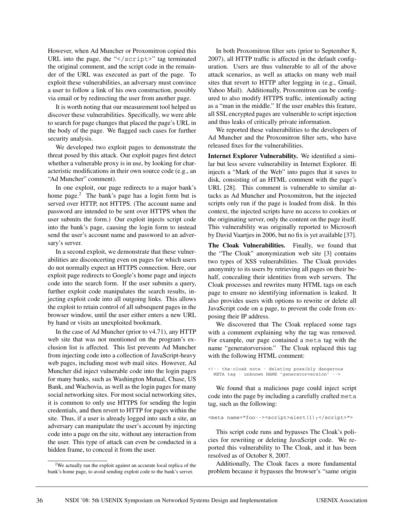However, when Ad Muncher or Proxomitron copied this URL into the page, the " $\le$ / $\le$ ript>" tag terminated the original comment, and the script code in the remainder of the URL was executed as part of the page. To exploit these vulnerabilities, an adversary must convince a user to follow a link of his own construction, possibly via email or by redirecting the user from another page.

It is worth noting that our measurement tool helped us discover these vulnerabilities. Specifically, we were able to search for page changes that placed the page's URL in the body of the page. We flagged such cases for further security analysis.

We developed two exploit pages to demonstrate the threat posed by this attack. Our exploit pages first detect whether a vulnerable proxy is in use, by looking for characteristic modifications in their own source code (e.g., an "Ad Muncher" comment).

In one exploit, our page redirects to a major bank's home page. $2^{\degree}$  The bank's page has a login form but is served over HTTP, not HTTPS. (The account name and password are intended to be sent over HTTPS when the user submits the form.) Our exploit injects script code into the bank's page, causing the login form to instead send the user's account name and password to an adversary's server.

In a second exploit, we demonstrate that these vulnerabilities are disconcerting even on pages for which users do not normally expect an HTTPS connection. Here, our exploit page redirects to Google's home page and injects code into the search form. If the user submits a query, further exploit code manipulates the search results, injecting exploit code into all outgoing links. This allows the exploit to retain control of all subsequent pages in the browser window, until the user either enters a new URL by hand or visits an unexploited bookmark.

In the case of Ad Muncher (prior to v4.71), any HTTP web site that was not mentioned on the program's exclusion list is affected. This list prevents Ad Muncher from injecting code into a collection of JavaScript-heavy web pages, including most web mail sites. However, Ad Muncher did inject vulnerable code into the login pages for many banks, such as Washington Mutual, Chase, US Bank, and Wachovia, as well as the login pages for many social networking sites. For most social networking sites, it is common to only use HTTPS for sending the login credentials, and then revert to HTTP for pages within the site. Thus, if a user is already logged into such a site, an adversary can manipulate the user's account by injecting code into a page on the site, without any interaction from the user. This type of attack can even be conducted in a hidden frame, to conceal it from the user.

In both Proxomitron filter sets (prior to September 8, 2007), all HTTP traffic is affected in the default configuration. Users are thus vulnerable to all of the above attack scenarios, as well as attacks on many web mail sites that revert to HTTP after logging in (e.g., Gmail, Yahoo Mail). Additionally, Proxomitron can be configured to also modify HTTPS traffic, intentionally acting as a "man in the middle." If the user enables this feature, all SSL encrypted pages are vulnerable to script injection and thus leaks of critically private information.

We reported these vulnerabilities to the developers of Ad Muncher and the Proxomitron filter sets, who have released fixes for the vulnerabilities.

**Internet Explorer Vulnerability.** We identified a similar but less severe vulnerability in Internet Explorer. IE injects a "Mark of the Web" into pages that it saves to disk, consisting of an HTML comment with the page's URL [28]. This comment is vulnerable to similar attacks as Ad Muncher and Proxomitron, but the injected scripts only run if the page is loaded from disk. In this context, the injected scripts have no access to cookies or the originating server, only the content on the page itself. This vulnerability was originally reported to Microsoft by David Vaartjes in 2006, but no fix is yet available [37].

**The Cloak Vulnerabilities.** Finally, we found that the "The Cloak" anonymization web site [3] contains two types of XSS vulnerabilities. The Cloak provides anonymity to its users by retrieving all pages on their behalf, concealing their identities from web servers. The Cloak processes and rewrites many HTML tags on each page to ensure no identifying information is leaked. It also provides users with options to rewrite or delete all JavaScript code on a page, to prevent the code from exposing their IP address.

We discovered that The Cloak replaced some tags with a comment explaining why the tag was removed. For example, our page contained a meta tag with the name "generatorversion." The Cloak replaced this tag with the following HTML comment:

<!-- the-cloak note - deleting possibly dangerous META tag - unknown NAME 'generatorversion' -->

We found that a malicious page could inject script code into the page by including a carefully crafted meta tag, such as the following:

<meta name="foo--><script>alert(1);</script>">

This script code runs and bypasses The Cloak's policies for rewriting or deleting JavaScript code. We reported this vulnerability to The Cloak, and it has been resolved as of October 8, 2007.

Additionally, The Cloak faces a more fundamental problem because it bypasses the browser's "same origin

<sup>&</sup>lt;sup>2</sup>We actually ran the exploit against an accurate local replica of the bank's home page, to avoid sending exploit code to the bank's server.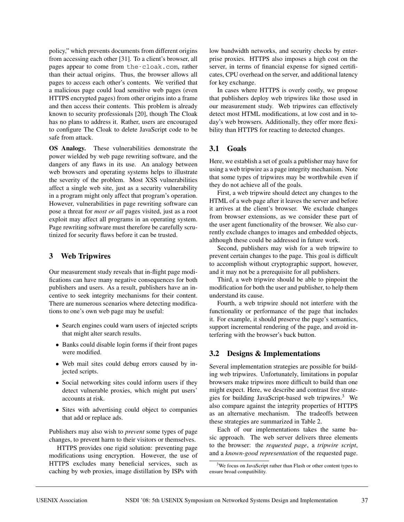policy," which prevents documents from different origins from accessing each other [31]. To a client's browser, all pages appear to come from the-cloak.com, rather than their actual origins. Thus, the browser allows all pages to access each other's contents. We verified that a malicious page could load sensitive web pages (even HTTPS encrypted pages) from other origins into a frame and then access their contents. This problem is already known to security professionals [20], though The Cloak has no plans to address it. Rather, users are encouraged to configure The Cloak to delete JavaScript code to be safe from attack.

**OS Analogy.** These vulnerabilities demonstrate the power wielded by web page rewriting software, and the dangers of any flaws in its use. An analogy between web browsers and operating systems helps to illustrate the severity of the problem. Most XSS vulnerabilities affect a single web site, just as a security vulnerability in a program might only affect that program's operation. However, vulnerabilities in page rewriting software can pose a threat for *most or all* pages visited, just as a root exploit may affect all programs in an operating system. Page rewriting software must therefore be carefully scrutinized for security flaws before it can be trusted.

# **3 Web Tripwires**

Our measurement study reveals that in-flight page modifications can have many negative consequences for both publishers and users. As a result, publishers have an incentive to seek integrity mechanisms for their content. There are numerous scenarios where detecting modifications to one's own web page may be useful:

- Search engines could warn users of injected scripts that might alter search results.
- Banks could disable login forms if their front pages were modified.
- Web mail sites could debug errors caused by injected scripts.
- Social networking sites could inform users if they detect vulnerable proxies, which might put users' accounts at risk.
- Sites with advertising could object to companies that add or replace ads.

Publishers may also wish to *prevent* some types of page changes, to prevent harm to their visitors or themselves.

HTTPS provides one rigid solution: preventing page modifications using encryption. However, the use of HTTPS excludes many beneficial services, such as caching by web proxies, image distillation by ISPs with low bandwidth networks, and security checks by enterprise proxies. HTTPS also imposes a high cost on the server, in terms of financial expense for signed certificates, CPU overhead on the server, and additional latency for key exchange.

In cases where HTTPS is overly costly, we propose that publishers deploy web tripwires like those used in our measurement study. Web tripwires can effectively detect most HTML modifications, at low cost and in today's web browsers. Additionally, they offer more flexibility than HTTPS for reacting to detected changes.

# **3.1 Goals**

Here, we establish a set of goals a publisher may have for using a web tripwire as a page integrity mechanism. Note that some types of tripwires may be worthwhile even if they do not achieve all of the goals.

First, a web tripwire should detect any changes to the HTML of a web page after it leaves the server and before it arrives at the client's browser. We exclude changes from browser extensions, as we consider these part of the user agent functionality of the browser. We also currently exclude changes to images and embedded objects, although these could be addressed in future work.

Second, publishers may wish for a web tripwire to prevent certain changes to the page. This goal is difficult to accomplish without cryptographic support, however, and it may not be a prerequisite for all publishers.

Third, a web tripwire should be able to pinpoint the modification for both the user and publisher, to help them understand its cause.

Fourth, a web tripwire should not interfere with the functionality or performance of the page that includes it. For example, it should preserve the page's semantics, support incremental rendering of the page, and avoid interfering with the browser's back button.

# **3.2 Designs & Implementations**

Several implementation strategies are possible for building web tripwires. Unfortunately, limitations in popular browsers make tripwires more difficult to build than one might expect. Here, we describe and contrast five strategies for building JavaScript-based web tripwires.<sup>3</sup> We also compare against the integrity properties of HTTPS as an alternative mechanism. The tradeoffs between these strategies are summarized in Table 2.

Each of our implementations takes the same basic approach. The web server delivers three elements to the browser: the *requested page*, a *tripwire script*, and a *known-good representation* of the requested page.

<sup>&</sup>lt;sup>3</sup>We focus on JavaScript rather than Flash or other content types to ensure broad compatibility.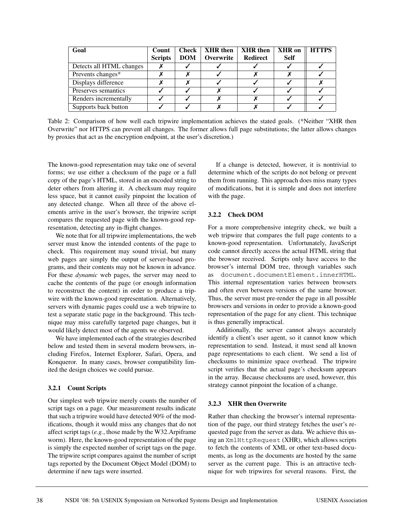| Goal                     | Count<br><b>Scripts</b> | <b>Check</b><br><b>DOM</b> | <b>XHR</b> then<br>Overwrite | <b>XHR</b> then<br><b>Redirect</b> | <b>XHR</b> on<br><b>Self</b> | <b>HTTPS</b> |
|--------------------------|-------------------------|----------------------------|------------------------------|------------------------------------|------------------------------|--------------|
|                          |                         |                            |                              |                                    |                              |              |
| Detects all HTML changes |                         |                            |                              |                                    |                              |              |
| Prevents changes*        |                         |                            |                              |                                    |                              |              |
| Displays difference      |                         |                            |                              |                                    |                              |              |
| Preserves semantics      |                         |                            |                              |                                    |                              |              |
| Renders incrementally    |                         |                            |                              |                                    |                              |              |
| Supports back button     |                         |                            |                              |                                    |                              |              |

Table 2: Comparison of how well each tripwire implementation achieves the stated goals. (\*Neither "XHR then Overwrite" nor HTTPS can prevent all changes. The former allows full page substitutions; the latter allows changes by proxies that act as the encryption endpoint, at the user's discretion.)

The known-good representation may take one of several forms; we use either a checksum of the page or a full copy of the page's HTML, stored in an encoded string to deter others from altering it. A checksum may require less space, but it cannot easily pinpoint the location of any detected change. When all three of the above elements arrive in the user's browser, the tripwire script compares the requested page with the known-good representation, detecting any in-flight changes.

We note that for all tripwire implementations, the web server must know the intended contents of the page to check. This requirement may sound trivial, but many web pages are simply the output of server-based programs, and their contents may not be known in advance. For these *dynamic* web pages, the server may need to cache the contents of the page (or enough information to reconstruct the content) in order to produce a tripwire with the known-good representation. Alternatively, servers with dynamic pages could use a web tripwire to test a separate static page in the background. This technique may miss carefully targeted page changes, but it would likely detect most of the agents we observed.

We have implemented each of the strategies described below and tested them in several modern browsers, including Firefox, Internet Explorer, Safari, Opera, and Konqueror. In many cases, browser compatibility limited the design choices we could pursue.

#### **3.2.1 Count Scripts**

Our simplest web tripwire merely counts the number of script tags on a page. Our measurement results indicate that such a tripwire would have detected 90% of the modifications, though it would miss any changes that do not affect script tags (*e.g.*, those made by the W32.Arpiframe worm). Here, the known-good representation of the page is simply the expected number of script tags on the page. The tripwire script compares against the number of script tags reported by the Document Object Model (DOM) to determine if new tags were inserted.

If a change is detected, however, it is nontrivial to determine which of the scripts do not belong or prevent them from running. This approach does miss many types of modifications, but it is simple and does not interfere with the page.

## **3.2.2 Check DOM**

For a more comprehensive integrity check, we built a web tripwire that compares the full page contents to a known-good representation. Unfortunately, JavaScript code cannot directly access the actual HTML string that the browser received. Scripts only have access to the browser's internal DOM tree, through variables such as document.documentElement.innerHTML. This internal representation varies between browsers and often even between versions of the same browser. Thus, the server must pre-render the page in all possible browsers and versions in order to provide a known-good representation of the page for any client. This technique is thus generally impractical.

Additionally, the server cannot always accurately identify a client's user agent, so it cannot know which representation to send. Instead, it must send all known page representations to each client. We send a list of checksums to minimize space overhead. The tripwire script verifies that the actual page's checksum appears in the array. Because checksums are used, however, this strategy cannot pinpoint the location of a change.

## **3.2.3 XHR then Overwrite**

Rather than checking the browser's internal representation of the page, our third strategy fetches the user's requested page from the server as data. We achieve this using an XmlHttpRequest (XHR), which allows scripts to fetch the contents of XML or other text-based documents, as long as the documents are hosted by the same server as the current page. This is an attractive technique for web tripwires for several reasons. First, the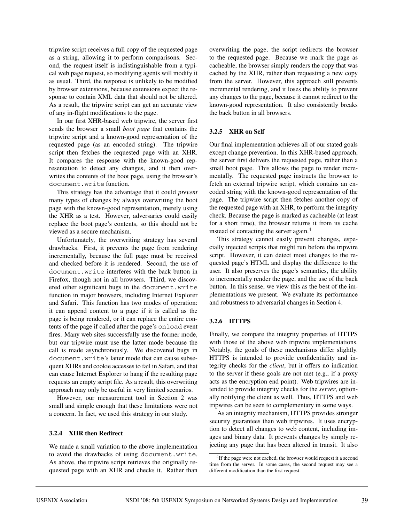tripwire script receives a full copy of the requested page as a string, allowing it to perform comparisons. Second, the request itself is indistinguishable from a typical web page request, so modifying agents will modify it as usual. Third, the response is unlikely to be modified by browser extensions, because extensions expect the response to contain XML data that should not be altered. As a result, the tripwire script can get an accurate view of any in-flight modifications to the page.

In our first XHR-based web tripwire, the server first sends the browser a small *boot page* that contains the tripwire script and a known-good representation of the requested page (as an encoded string). The tripwire script then fetches the requested page with an XHR. It compares the response with the known-good representation to detect any changes, and it then overwrites the contents of the boot page, using the browser's document.write function.

This strategy has the advantage that it could *prevent* many types of changes by always overwriting the boot page with the known-good representation, merely using the XHR as a test. However, adversaries could easily replace the boot page's contents, so this should not be viewed as a secure mechanism.

Unfortunately, the overwriting strategy has several drawbacks. First, it prevents the page from rendering incrementally, because the full page must be received and checked before it is rendered. Second, the use of document.write interferes with the back button in Firefox, though not in all browsers. Third, we discovered other significant bugs in the document.write function in major browsers, including Internet Explorer and Safari. This function has two modes of operation: it can append content to a page if it is called as the page is being rendered, or it can replace the entire contents of the page if called after the page's onload event fires. Many web sites successfully use the former mode, but our tripwire must use the latter mode because the call is made asynchronously. We discovered bugs in document.write's latter mode that can cause subsequent XHRs and cookie accesses to fail in Safari, and that can cause Internet Explorer to hang if the resulting page requests an empty script file. As a result, this overwriting approach may only be useful in very limited scenarios.

However, our measurement tool in Section 2 was small and simple enough that these limitations were not a concern. In fact, we used this strategy in our study.

## **3.2.4 XHR then Redirect**

We made a small variation to the above implementation to avoid the drawbacks of using document.write. As above, the tripwire script retrieves the originally requested page with an XHR and checks it. Rather than

overwriting the page, the script redirects the browser to the requested page. Because we mark the page as cacheable, the browser simply renders the copy that was cached by the XHR, rather than requesting a new copy from the server. However, this approach still prevents incremental rendering, and it loses the ability to prevent any changes to the page, because it cannot redirect to the known-good representation. It also consistently breaks the back button in all browsers.

#### **3.2.5 XHR on Self**

Our final implementation achieves all of our stated goals except change prevention. In this XHR-based approach, the server first delivers the requested page, rather than a small boot page. This allows the page to render incrementally. The requested page instructs the browser to fetch an external tripwire script, which contains an encoded string with the known-good representation of the page. The tripwire script then fetches another copy of the requested page with an XHR, to perform the integrity check. Because the page is marked as cacheable (at least for a short time), the browser returns it from its cache instead of contacting the server again.<sup>4</sup>

This strategy cannot easily prevent changes, especially injected scripts that might run before the tripwire script. However, it can detect most changes to the requested page's HTML and display the difference to the user. It also preserves the page's semantics, the ability to incrementally render the page, and the use of the back button. In this sense, we view this as the best of the implementations we present. We evaluate its performance and robustness to adversarial changes in Section 4.

#### **3.2.6 HTTPS**

Finally, we compare the integrity properties of HTTPS with those of the above web tripwire implementations. Notably, the goals of these mechanisms differ slightly. HTTPS is intended to provide confidentiality and integrity checks for the *client*, but it offers no indication to the server if these goals are not met (e.g., if a proxy acts as the encryption end point). Web tripwires are intended to provide integrity checks for the *server*, optionally notifying the client as well. Thus, HTTPS and web tripwires can be seen to complementary in some ways.

As an integrity mechanism, HTTPS provides stronger security guarantees than web tripwires. It uses encryption to detect all changes to web content, including images and binary data. It prevents changes by simply rejecting any page that has been altered in transit. It also

<sup>&</sup>lt;sup>4</sup>If the page were not cached, the browser would request it a second time from the server. In some cases, the second request may see a different modification than the first request.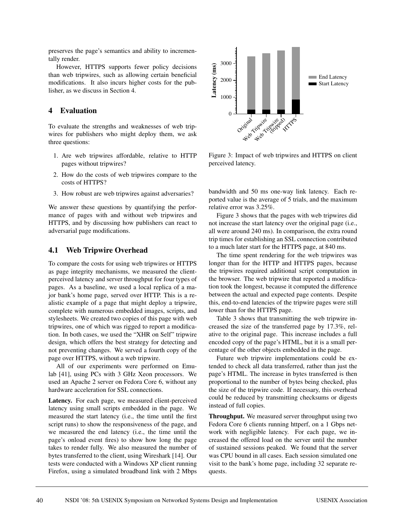preserves the page's semantics and ability to incrementally render.

However, HTTPS supports fewer policy decisions than web tripwires, such as allowing certain beneficial modifications. It also incurs higher costs for the publisher, as we discuss in Section 4.

# **4 Evaluation**

To evaluate the strengths and weaknesses of web tripwires for publishers who might deploy them, we ask three questions:

- 1. Are web tripwires affordable, relative to HTTP pages without tripwires?
- 2. How do the costs of web tripwires compare to the costs of HTTPS?
- 3. How robust are web tripwires against adversaries?

We answer these questions by quantifying the performance of pages with and without web tripwires and HTTPS, and by discussing how publishers can react to adversarial page modifications.

## **4.1 Web Tripwire Overhead**

To compare the costs for using web tripwires or HTTPS as page integrity mechanisms, we measured the clientperceived latency and server throughput for four types of pages. As a baseline, we used a local replica of a major bank's home page, served over HTTP. This is a realistic example of a page that might deploy a tripwire, complete with numerous embedded images, scripts, and stylesheets. We created two copies of this page with web tripwires, one of which was rigged to report a modification. In both cases, we used the "XHR on Self" tripwire design, which offers the best strategy for detecting and not preventing changes. We served a fourth copy of the page over HTTPS, without a web tripwire.

All of our experiments were performed on Emulab [41], using PCs with 3 GHz Xeon processors. We used an Apache 2 server on Fedora Core 6, without any hardware acceleration for SSL connections.

Latency. For each page, we measured client-perceived latency using small scripts embedded in the page. We measured the start latency (i.e., the time until the first script runs) to show the responsiveness of the page, and we measured the end latency (i.e., the time until the page's onload event fires) to show how long the page takes to render fully. We also measured the number of bytes transferred to the client, using Wireshark [14]. Our tests were conducted with a Windows XP client running Firefox, using a simulated broadband link with 2 Mbps



Figure 3: Impact of web tripwires and HTTPS on client perceived latency.

bandwidth and 50 ms one-way link latency. Each reported value is the average of 5 trials, and the maximum relative error was 3.25%.

Figure 3 shows that the pages with web tripwires did not increase the start latency over the original page (i.e., all were around 240 ms). In comparison, the extra round trip times for establishing an SSL connection contributed to a much later start for the HTTPS page, at 840 ms.

The time spent rendering for the web tripwires was longer than for the HTTP and HTTPS pages, because the tripwires required additional script computation in the browser. The web tripwire that reported a modification took the longest, because it computed the difference between the actual and expected page contents. Despite this, end-to-end latencies of the tripwire pages were still lower than for the HTTPS page.

Table 3 shows that transmitting the web tripwire increased the size of the transferred page by 17.3%, relative to the original page. This increase includes a full encoded copy of the page's HTML, but it is a small percentage of the other objects embedded in the page.

Future web tripwire implementations could be extended to check all data transferred, rather than just the page's HTML. The increase in bytes transferred is then proportional to the number of bytes being checked, plus the size of the tripwire code. If necessary, this overhead could be reduced by transmitting checksums or digests instead of full copies.

**Throughput.** We measured server throughput using two Fedora Core 6 clients running httperf, on a 1 Gbps network with negligible latency. For each page, we increased the offered load on the server until the number of sustained sessions peaked. We found that the server was CPU bound in all cases. Each session simulated one visit to the bank's home page, including 32 separate requests.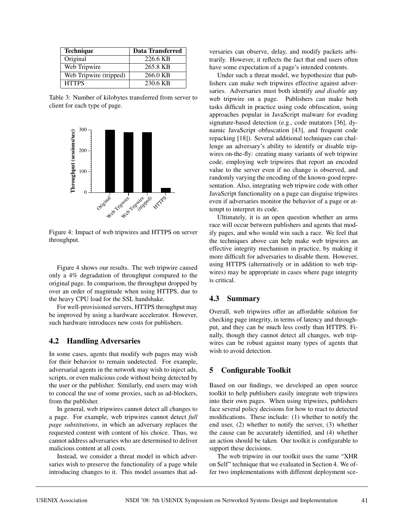| <b>Technique</b>       | <b>Data Transferred</b> |  |  |  |  |
|------------------------|-------------------------|--|--|--|--|
| Original               | 226.6 KB                |  |  |  |  |
| Web Tripwire           | 265.8 KB                |  |  |  |  |
| Web Tripwire (tripped) | 266.0 KB                |  |  |  |  |
| <b>HTTPS</b>           | 230.6 KB                |  |  |  |  |

Table 3: Number of kilobytes transferred from server to client for each type of page.



Figure 4: Impact of web tripwires and HTTPS on server throughput.

Figure 4 shows our results. The web tripwire caused only a 4% degradation of throughput compared to the original page. In comparison, the throughput dropped by over an order of magnitude when using HTTPS, due to the heavy CPU load for the SSL handshake.

For well-provisioned servers, HTTPS throughput may be improved by using a hardware accelerator. However, such hardware introduces new costs for publishers.

## **4.2 Handling Adversaries**

In some cases, agents that modify web pages may wish for their behavior to remain undetected. For example, adversarial agents in the network may wish to inject ads, scripts, or even malicious code without being detected by the user or the publisher. Similarly, end users may wish to conceal the use of some proxies, such as ad-blockers, from the publisher.

In general, web tripwires cannot detect all changes to a page. For example, web tripwires cannot detect *full page substitutions*, in which an adversary replaces the requested content with content of his choice. Thus, we cannot address adversaries who are determined to deliver malicious content at all costs.

Instead, we consider a threat model in which adversaries wish to preserve the functionality of a page while introducing changes to it. This model assumes that adversaries can observe, delay, and modify packets arbitrarily. However, it reflects the fact that end users often have some expectation of a page's intended contents.

Under such a threat model, we hypothesize that publishers can make web tripwires effective against adversaries. Adversaries must both identify *and disable* any web tripwire on a page. Publishers can make both tasks difficult in practice using code obfuscation, using approaches popular in JavaScript malware for evading signature-based detection (e.g., code mutators [36], dynamic JavaScript obfuscation [43], and frequent code repacking [18]). Several additional techniques can challenge an adversary's ability to identify or disable tripwires on-the-fly: creating many variants of web tripwire code, employing web tripwires that report an encoded value to the server even if no change is observed, and randomly varying the encoding of the known-good representation. Also, integrating web tripwire code with other JavaScript functionality on a page can disguise tripwires even if adversaries monitor the behavior of a page or attempt to interpret its code.

Ultimately, it is an open question whether an arms race will occur between publishers and agents that modify pages, and who would win such a race. We feel that the techniques above can help make web tripwires an effective integrity mechanism in practice, by making it more difficult for adversaries to disable them. However, using HTTPS (alternatively or in addition to web tripwires) may be appropriate in cases where page integrity is critical.

# **4.3 Summary**

Overall, web tripwires offer an affordable solution for checking page integrity, in terms of latency and throughput, and they can be much less costly than HTTPS. Finally, though they cannot detect all changes, web tripwires can be robust against many types of agents that wish to avoid detection.

# **5 Configurable Toolkit**

Based on our findings, we developed an open source toolkit to help publishers easily integrate web tripwires into their own pages. When using tripwires, publishers face several policy decisions for how to react to detected modifications. These include: (1) whether to notify the end user, (2) whether to notify the server, (3) whether the cause can be accurately identified, and (4) whether an action should be taken. Our toolkit is configurable to support these decisions.

The web tripwire in our toolkit uses the same "XHR on Self" technique that we evaluated in Section 4. We offer two implementations with different deployment sce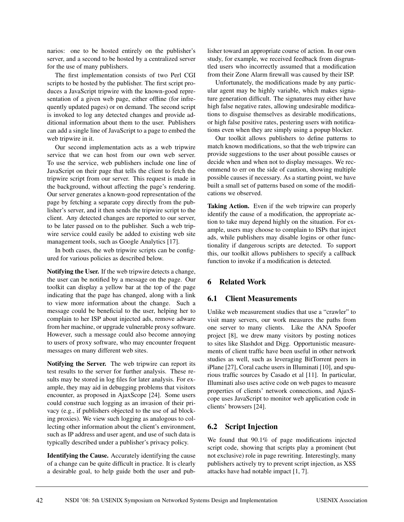narios: one to be hosted entirely on the publisher's server, and a second to be hosted by a centralized server for the use of many publishers.

The first implementation consists of two Perl CGI scripts to be hosted by the publisher. The first script produces a JavaScript tripwire with the known-good representation of a given web page, either offline (for infrequently updated pages) or on demand. The second script is invoked to log any detected changes and provide additional information about them to the user. Publishers can add a single line of JavaScript to a page to embed the web tripwire in it.

Our second implementation acts as a web tripwire service that we can host from our own web server. To use the service, web publishers include one line of JavaScript on their page that tells the client to fetch the tripwire script from our server. This request is made in the background, without affecting the page's rendering. Our server generates a known-good representation of the page by fetching a separate copy directly from the publisher's server, and it then sends the tripwire script to the client. Any detected changes are reported to our server, to be later passed on to the publisher. Such a web tripwire service could easily be added to existing web site management tools, such as Google Analytics [17].

In both cases, the web tripwire scripts can be configured for various policies as described below.

**Notifying the User.** If the web tripwire detects a change, the user can be notified by a message on the page. Our toolkit can display a yellow bar at the top of the page indicating that the page has changed, along with a link to view more information about the change. Such a message could be beneficial to the user, helping her to complain to her ISP about injected ads, remove adware from her machine, or upgrade vulnerable proxy software. However, such a message could also become annoying to users of proxy software, who may encounter frequent messages on many different web sites.

**Notifying the Server.** The web tripwire can report its test results to the server for further analysis. These results may be stored in log files for later analysis. For example, they may aid in debugging problems that visitors encounter, as proposed in AjaxScope [24]. Some users could construe such logging as an invasion of their privacy (e.g., if publishers objected to the use of ad blocking proxies). We view such logging as analogous to collecting other information about the client's environment, such as IP address and user agent, and use of such data is typically described under a publisher's privacy policy.

**Identifying the Cause.** Accurately identifying the cause of a change can be quite difficult in practice. It is clearly a desirable goal, to help guide both the user and publisher toward an appropriate course of action. In our own study, for example, we received feedback from disgruntled users who incorrectly assumed that a modification from their Zone Alarm firewall was caused by their ISP.

Unfortunately, the modifications made by any particular agent may be highly variable, which makes signature generation difficult. The signatures may either have high false negative rates, allowing undesirable modifications to disguise themselves as desirable modifications, or high false positive rates, pestering users with notifications even when they are simply using a popup blocker.

Our toolkit allows publishers to define patterns to match known modifications, so that the web tripwire can provide suggestions to the user about possible causes or decide when and when not to display messages. We recommend to err on the side of caution, showing multiple possible causes if necessary. As a starting point, we have built a small set of patterns based on some of the modifications we observed.

**Taking Action.** Even if the web tripwire can properly identify the cause of a modification, the appropriate action to take may depend highly on the situation. For example, users may choose to complain to ISPs that inject ads, while publishers may disable logins or other functionality if dangerous scripts are detected. To support this, our toolkit allows publishers to specify a callback function to invoke if a modification is detected.

# **6 Related Work**

# **6.1 Client Measurements**

Unlike web measurement studies that use a "crawler" to visit many servers, our work measures the paths from one server to many clients. Like the ANA Spoofer project [8], we drew many visitors by posting notices to sites like Slashdot and Digg. Opportunistic measurements of client traffic have been useful in other network studies as well, such as leveraging BitTorrent peers in iPlane [27], Coral cache users in Illuminati [10], and spurious traffic sources by Casado et al [11]. In particular, Illuminati also uses active code on web pages to measure properties of clients' network connections, and AjaxScope uses JavaScript to monitor web application code in clients' browsers [24].

# **6.2 Script Injection**

We found that 90.1% of page modifications injected script code, showing that scripts play a prominent (but not exclusive) role in page rewriting. Interestingly, many publishers actively try to prevent script injection, as XSS attacks have had notable impact [1, 7].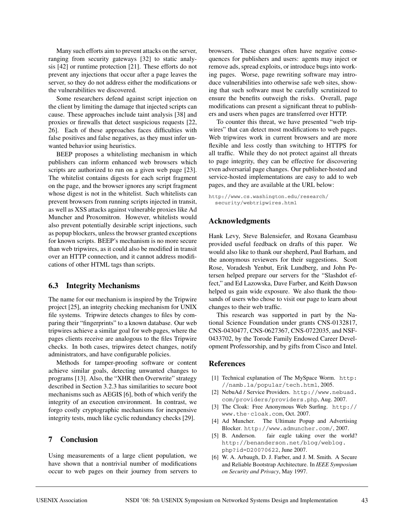Many such efforts aim to prevent attacks on the server, ranging from security gateways [32] to static analysis [42] or runtime protection [21]. These efforts do not prevent any injections that occur after a page leaves the server, so they do not address either the modifications or the vulnerabilities we discovered.

Some researchers defend against script injection on the client by limiting the damage that injected scripts can cause. These approaches include taint analysis [38] and proxies or firewalls that detect suspicious requests [22, 26]. Each of these approaches faces difficulties with false positives and false negatives, as they must infer unwanted behavior using heuristics.

BEEP proposes a whitelisting mechanism in which publishers can inform enhanced web browsers which scripts are authorized to run on a given web page [23]. The whitelist contains digests for each script fragment on the page, and the browser ignores any script fragment whose digest is not in the whitelist. Such whitelists can prevent browsers from running scripts injected in transit, as well as XSS attacks against vulnerable proxies like Ad Muncher and Proxomitron. However, whitelists would also prevent potentially desirable script injections, such as popup blockers, unless the browser granted exceptions for known scripts. BEEP's mechanism is no more secure than web tripwires, as it could also be modified in transit over an HTTP connection, and it cannot address modifications of other HTML tags than scripts.

## **6.3 Integrity Mechanisms**

The name for our mechanism is inspired by the Tripwire project [25], an integrity checking mechanism for UNIX file systems. Tripwire detects changes to files by comparing their "fingerprints" to a known database. Our web tripwires achieve a similar goal for web pages, where the pages clients receive are analogous to the files Tripwire checks. In both cases, tripwires detect changes, notify administrators, and have configurable policies.

Methods for tamper-proofing software or content achieve similar goals, detecting unwanted changes to programs [13]. Also, the "XHR then Overwrite" strategy described in Section 3.2.3 has similarities to secure boot mechanisms such as AEGIS [6], both of which verify the integrity of an execution environment. In contrast, we forgo costly cryptographic mechanisms for inexpensive integrity tests, much like cyclic redundancy checks [29].

## **7 Conclusion**

Using measurements of a large client population, we have shown that a nontrivial number of modifications occur to web pages on their journey from servers to browsers. These changes often have negative consequences for publishers and users: agents may inject or remove ads, spread exploits, or introduce bugs into working pages. Worse, page rewriting software may introduce vulnerabilities into otherwise safe web sites, showing that such software must be carefully scrutinized to ensure the benefits outweigh the risks. Overall, page modifications can present a significant threat to publishers and users when pages are transferred over HTTP.

To counter this threat, we have presented "web tripwires" that can detect most modifications to web pages. Web tripwires work in current browsers and are more flexible and less costly than switching to HTTPS for all traffic. While they do not protect against all threats to page integrity, they can be effective for discovering even adversarial page changes. Our publisher-hosted and service-hosted implementations are easy to add to web pages, and they are available at the URL below:

http://www.cs.washington.edu/research/ security/webtripwires.html

## **Acknowledgments**

Hank Levy, Steve Balensiefer, and Roxana Geambasu provided useful feedback on drafts of this paper. We would also like to thank our shepherd, Paul Barham, and the anonymous reviewers for their suggestions. Scott Rose, Voradesh Yenbut, Erik Lundberg, and John Petersen helped prepare our servers for the "Slashdot effect," and Ed Lazowska, Dave Farber, and Keith Dawson helped us gain wide exposure. We also thank the thousands of users who chose to visit our page to learn about changes to their web traffic.

This research was supported in part by the National Science Foundation under grants CNS-0132817, CNS-0430477, CNS-0627367, CNS-0722035, and NSF-0433702, by the Torode Family Endowed Career Development Professorship, and by gifts from Cisco and Intel.

## **References**

- [1] Technical explanation of The MySpace Worm. http: //namb.la/popular/tech.html, 2005.
- [2] NebuAd / Service Providers. http://www.nebuad. com/providers/providers.php, Aug. 2007.
- [3] The Cloak: Free Anonymous Web Surfing. http:// www.the-cloak.com, Oct. 2007.
- [4] Ad Muncher. The Ultimate Popup and Advertising Blocker. http://www.admuncher.com/, 2007.
- [5] B. Anderson. fair eagle taking over the world? http://benanderson.net/blog/weblog. php?id=D20070622, June 2007.
- [6] W. A. Arbaugh, D. J. Farber, and J. M. Smith. A Secure and Reliable Bootstrap Architecture. In *IEEE Symposium on Security and Privacy*, May 1997.